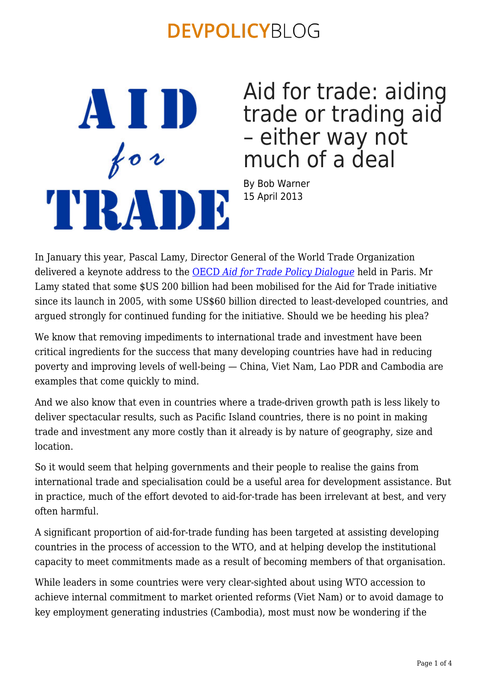AVID  $f \circ \iota$ TIRATIE Aid for trade: aiding trade or trading aid – either way not much of a deal

By Bob Warner 15 April 2013

In January this year, Pascal Lamy, Director General of the World Trade Organization delivered a keynote address to the [OECD](http://www.oecd.org/dac/aft/aidfortradepolicydialogue2013.htm) *[Aid for Trade Policy Dialogue](http://www.oecd.org/dac/aft/aidfortradepolicydialogue2013.htm)* held in Paris. Mr Lamy stated that some \$US 200 billion had been mobilised for the Aid for Trade initiative since its launch in 2005, with some US\$60 billion directed to least-developed countries, and argued strongly for continued funding for the initiative. Should we be heeding his plea?

We know that removing impediments to international trade and investment have been critical ingredients for the success that many developing countries have had in reducing poverty and improving levels of well-being — China, Viet Nam, Lao PDR and Cambodia are examples that come quickly to mind.

And we also know that even in countries where a trade-driven growth path is less likely to deliver spectacular results, such as Pacific Island countries, there is no point in making trade and investment any more costly than it already is by nature of geography, size and **location** 

So it would seem that helping governments and their people to realise the gains from international trade and specialisation could be a useful area for development assistance. But in practice, much of the effort devoted to aid-for-trade has been irrelevant at best, and very often harmful.

A significant proportion of aid-for-trade funding has been targeted at assisting developing countries in the process of accession to the WTO, and at helping develop the institutional capacity to meet commitments made as a result of becoming members of that organisation.

While leaders in some countries were very clear-sighted about using WTO accession to achieve internal commitment to market oriented reforms (Viet Nam) or to avoid damage to key employment generating industries (Cambodia), most must now be wondering if the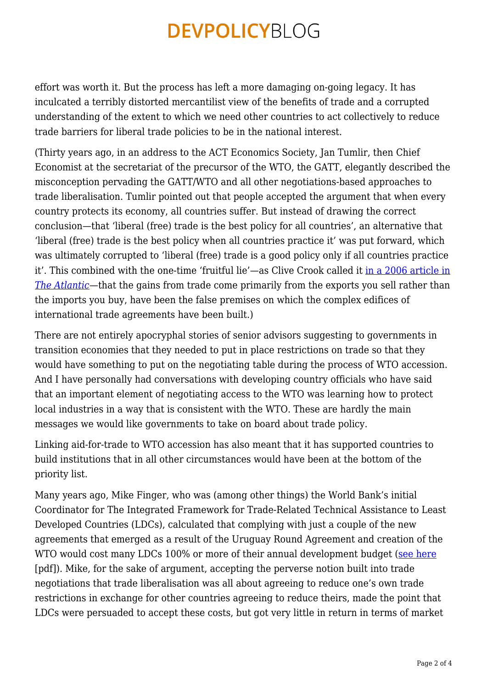effort was worth it. But the process has left a more damaging on-going legacy. It has inculcated a terribly distorted mercantilist view of the benefits of trade and a corrupted understanding of the extent to which we need other countries to act collectively to reduce trade barriers for liberal trade policies to be in the national interest.

(Thirty years ago, in an address to the ACT Economics Society, Jan Tumlir, then Chief Economist at the secretariat of the precursor of the WTO, the GATT, elegantly described the misconception pervading the GATT/WTO and all other negotiations-based approaches to trade liberalisation. Tumlir pointed out that people accepted the argument that when every country protects its economy, all countries suffer. But instead of drawing the correct conclusion—that 'liberal (free) trade is the best policy for all countries', an alternative that 'liberal (free) trade is the best policy when all countries practice it' was put forward, which was ultimately corrupted to 'liberal (free) trade is a good policy only if all countries practice it'. This combined with the one-time 'fruitful lie'—as Clive Crook called it [in a 2006 article in](http://www.theatlantic.com/magazine/archive/2006/10/the-fruitful-lie/305199/) *[The Atlantic](http://www.theatlantic.com/magazine/archive/2006/10/the-fruitful-lie/305199/)*—that the gains from trade come primarily from the exports you sell rather than the imports you buy, have been the false premises on which the complex edifices of international trade agreements have been built.)

There are not entirely apocryphal stories of senior advisors suggesting to governments in transition economies that they needed to put in place restrictions on trade so that they would have something to put on the negotiating table during the process of WTO accession. And I have personally had conversations with developing country officials who have said that an important element of negotiating access to the WTO was learning how to protect local industries in a way that is consistent with the WTO. These are hardly the main messages we would like governments to take on board about trade policy.

Linking aid-for-trade to WTO accession has also meant that it has supported countries to build institutions that in all other circumstances would have been at the bottom of the priority list.

Many years ago, Mike Finger, who was (among other things) the World Bank's initial Coordinator for The Integrated Framework for Trade-Related Technical Assistance to Least Developed Countries (LDCs), calculated that complying with just a couple of the new agreements that emerged as a result of the Uruguay Round Agreement and creation of the WTO would cost many LDCs 100% or more of their annual development budget [\(see here](http://policydialogue.org/files/publications/Uruguay_Round_Finger_Schulerpdf.pdf) [pdf]). Mike, for the sake of argument, accepting the perverse notion built into trade negotiations that trade liberalisation was all about agreeing to reduce one's own trade restrictions in exchange for other countries agreeing to reduce theirs, made the point that LDCs were persuaded to accept these costs, but got very little in return in terms of market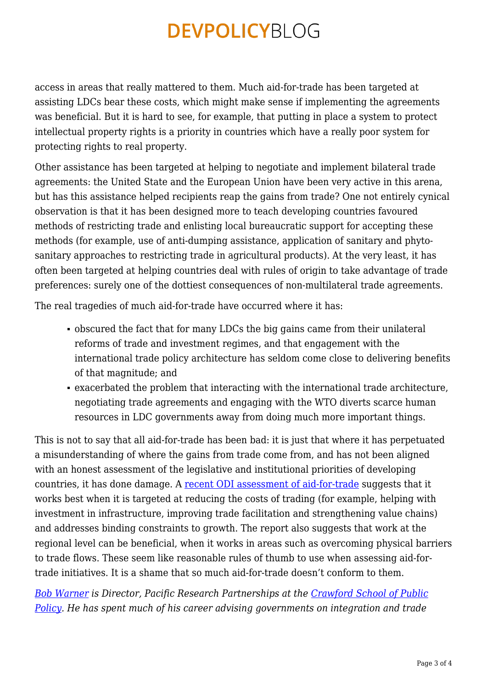access in areas that really mattered to them. Much aid-for-trade has been targeted at assisting LDCs bear these costs, which might make sense if implementing the agreements was beneficial. But it is hard to see, for example, that putting in place a system to protect intellectual property rights is a priority in countries which have a really poor system for protecting rights to real property.

Other assistance has been targeted at helping to negotiate and implement bilateral trade agreements: the United State and the European Union have been very active in this arena, but has this assistance helped recipients reap the gains from trade? One not entirely cynical observation is that it has been designed more to teach developing countries favoured methods of restricting trade and enlisting local bureaucratic support for accepting these methods (for example, use of anti-dumping assistance, application of sanitary and phytosanitary approaches to restricting trade in agricultural products). At the very least, it has often been targeted at helping countries deal with rules of origin to take advantage of trade preferences: surely one of the dottiest consequences of non-multilateral trade agreements.

The real tragedies of much aid-for-trade have occurred where it has:

- obscured the fact that for many LDCs the big gains came from their unilateral reforms of trade and investment regimes, and that engagement with the international trade policy architecture has seldom come close to delivering benefits of that magnitude; and
- exacerbated the problem that interacting with the international trade architecture, negotiating trade agreements and engaging with the WTO diverts scarce human resources in LDC governments away from doing much more important things.

This is not to say that all aid-for-trade has been bad: it is just that where it has perpetuated a misunderstanding of where the gains from trade come from, and has not been aligned with an honest assessment of the legislative and institutional priorities of developing countries, it has done damage. A [recent ODI assessment of aid-for-trade](http://www.odi.org.uk/sites/odi.org.uk/files/odi-assets/publications-opinion-files/7793.pdf) suggests that it works best when it is targeted at reducing the costs of trading (for example, helping with investment in infrastructure, improving trade facilitation and strengthening value chains) and addresses binding constraints to growth. The report also suggests that work at the regional level can be beneficial, when it works in areas such as overcoming physical barriers to trade flows. These seem like reasonable rules of thumb to use when assessing aid-fortrade initiatives. It is a shame that so much aid-for-trade doesn't conform to them.

*[Bob Warner](http://www.crawford.anu.edu.au/crawford_people/content/view.php?name=Warner&id=1421) is Director, Pacific Research Partnerships at the [Crawford School of Public](http://crawford.anu.edu.au/) [Policy](http://crawford.anu.edu.au/). He has spent much of his career advising governments on integration and trade*